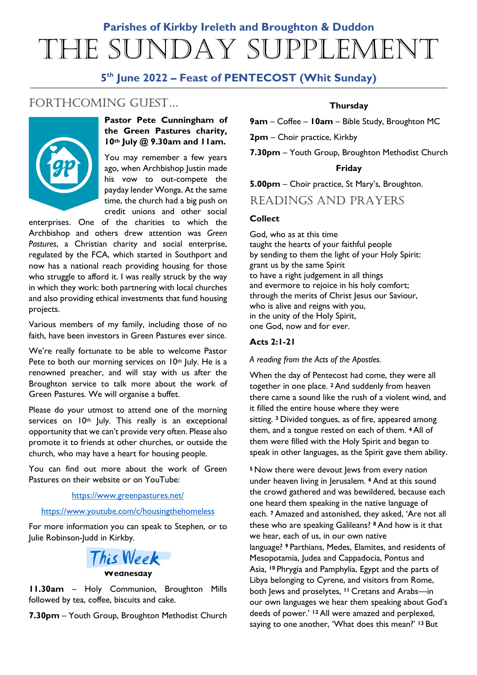# **Parishes of Kirkby Ireleth and Broughton & Duddon** The Sunday Supplement

# **5th June 2022 – Feast of PENTECOST (Whit Sunday)**

# FORTHCOMING GUEST...



## **Pastor Pete Cunningham of the Green Pastures charity, 10th July @ 9.30am and 11am.**

You may remember a few years ago, when Archbishop Justin made his vow to out-compete the payday lender Wonga. At the same time, the church had a big push on credit unions and other social

enterprises. One of the charities to which the Archbishop and others drew attention was *Green Pastures*, a Christian charity and social enterprise, regulated by the FCA, which started in Southport and now has a national reach providing housing for those who struggle to afford it. I was really struck by the way in which they work: both partnering with local churches and also providing ethical investments that fund housing projects.

Various members of my family, including those of no faith, have been investors in Green Pastures ever since.

We're really fortunate to be able to welcome Pastor Pete to both our morning services on 10<sup>th</sup> July. He is a renowned preacher, and will stay with us after the Broughton service to talk more about the work of Green Pastures. We will organise a buffet.

Please do your utmost to attend one of the morning services on 10<sup>th</sup> July. This really is an exceptional opportunity that we can't provide very often. Please also promote it to friends at other churches, or outside the church, who may have a heart for housing people.

You can find out more about the work of Green Pastures on their website or on YouTube:

#### <https://www.greenpastures.net/>

#### <https://www.youtube.com/c/housingthehomeless>

For more information you can speak to Stephen, or to Julie Robinson-Judd in Kirkby.



#### **Wednesday**

**11.30am** – Holy Communion, Broughton Mills followed by tea, coffee, biscuits and cake.

**7.30pm** – Youth Group, Broughton Methodist Church

## **Thursday**

**9am** – Coffee – **10am** – Bible Study, Broughton MC

**2pm** – Choir practice, Kirkby

**7.30pm** – Youth Group, Broughton Methodist Church

#### **Friday**

**5.00pm** – Choir practice, St Mary's, Broughton.

## READINGS AND PRAYERS

## **Collect**

God, who as at this time taught the hearts of your faithful people by sending to them the light of your Holy Spirit: grant us by the same Spirit to have a right judgement in all things and evermore to rejoice in his holy comfort; through the merits of Christ Jesus our Saviour, who is alive and reigns with you, in the unity of the Holy Spirit, one God, now and for ever.

## **Acts 2:1-21**

*A reading from the Acts of the Apostles.*

When the day of Pentecost had come, they were all together in one place. **<sup>2</sup>** And suddenly from heaven there came a sound like the rush of a violent wind, and it filled the entire house where they were sitting. **<sup>3</sup>** Divided tongues, as of fire, appeared among them, and a tongue rested on each of them. **<sup>4</sup>** All of them were filled with the Holy Spirit and began to speak in other languages, as the Spirit gave them ability.

**<sup>5</sup>** Now there were devout Jews from every nation under heaven living in Jerusalem. **<sup>6</sup>** And at this sound the crowd gathered and was bewildered, because each one heard them speaking in the native language of each. **<sup>7</sup>** Amazed and astonished, they asked, 'Are not all these who are speaking Galileans? **<sup>8</sup>** And how is it that we hear, each of us, in our own native language? **<sup>9</sup>** Parthians, Medes, Elamites, and residents of Mesopotamia, Judea and Cappadocia, Pontus and Asia, **<sup>10</sup>** Phrygia and Pamphylia, Egypt and the parts of Libya belonging to Cyrene, and visitors from Rome, both Jews and proselytes, **<sup>11</sup>** Cretans and Arabs—in our own languages we hear them speaking about God's deeds of power.' **<sup>12</sup>** All were amazed and perplexed, saying to one another, 'What does this mean?' **<sup>13</sup>** But